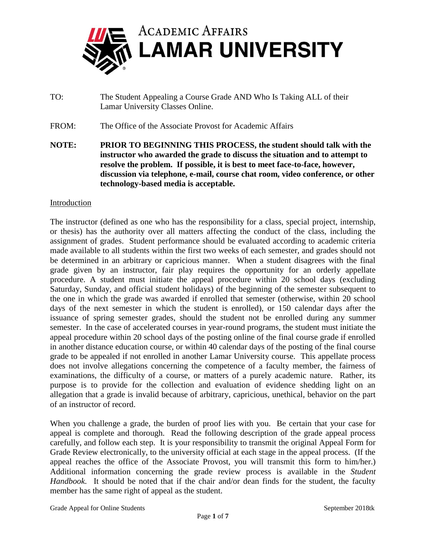

TO: The Student Appealing a Course Grade AND Who Is Taking ALL of their Lamar University Classes Online.

FROM: The Office of the Associate Provost for Academic Affairs

**NOTE: PRIOR TO BEGINNING THIS PROCESS, the student should talk with the instructor who awarded the grade to discuss the situation and to attempt to resolve the problem. If possible, it is best to meet face-to-face, however, discussion via telephone, e-mail, course chat room, video conference, or other technology-based media is acceptable.**

## **Introduction**

The instructor (defined as one who has the responsibility for a class, special project, internship, or thesis) has the authority over all matters affecting the conduct of the class, including the assignment of grades. Student performance should be evaluated according to academic criteria made available to all students within the first two weeks of each semester, and grades should not be determined in an arbitrary or capricious manner. When a student disagrees with the final grade given by an instructor, fair play requires the opportunity for an orderly appellate procedure. A student must initiate the appeal procedure within 20 school days (excluding Saturday, Sunday, and official student holidays) of the beginning of the semester subsequent to the one in which the grade was awarded if enrolled that semester (otherwise, within 20 school days of the next semester in which the student is enrolled), or 150 calendar days after the issuance of spring semester grades, should the student not be enrolled during any summer semester. In the case of accelerated courses in year-round programs, the student must initiate the appeal procedure within 20 school days of the posting online of the final course grade if enrolled in another distance education course, or within 40 calendar days of the posting of the final course grade to be appealed if not enrolled in another Lamar University course. This appellate process does not involve allegations concerning the competence of a faculty member, the fairness of examinations, the difficulty of a course, or matters of a purely academic nature. Rather, its purpose is to provide for the collection and evaluation of evidence shedding light on an allegation that a grade is invalid because of arbitrary, capricious, unethical, behavior on the part of an instructor of record.

When you challenge a grade, the burden of proof lies with you. Be certain that your case for appeal is complete and thorough. Read the following description of the grade appeal process carefully, and follow each step. It is your responsibility to transmit the original Appeal Form for Grade Review electronically, to the university official at each stage in the appeal process. (If the appeal reaches the office of the Associate Provost, you will transmit this form to him/her.) Additional information concerning the grade review process is available in the *Student Handbook*. It should be noted that if the chair and/or dean finds for the student, the faculty member has the same right of appeal as the student.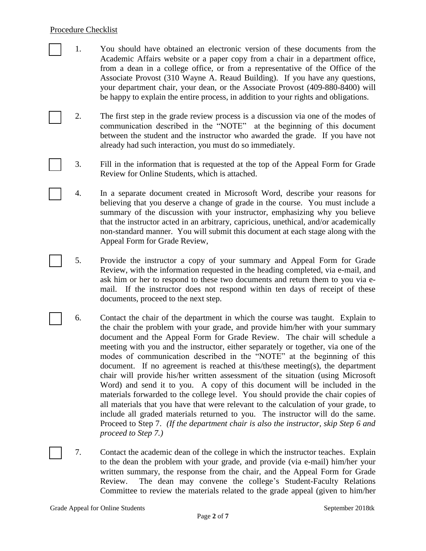## Procedure Checklist

- [ ] 1. You should have obtained an electronic version of these documents from the Academic Affairs website or a paper copy from a chair in a department office, from a dean in a college office, or from a representative of the Office of the Associate Provost (310 Wayne A. Reaud Building). If you have any questions, your department chair, your dean, or the Associate Provost (409-880-8400) will be happy to explain the entire process, in addition to your rights and obligations.
	- 2. The first step in the grade review process is a discussion via one of the modes of communication described in the "NOTE" at the beginning of this document between the student and the instructor who awarded the grade. If you have not already had such interaction, you must do so immediately.
		- [ ] 3. Fill in the information that is requested at the top of the Appeal Form for Grade Review for Online Students, which is attached.
		- [ ] 4. In a separate document created in Microsoft Word, describe your reasons for believing that you deserve a change of grade in the course. You must include a summary of the discussion with your instructor, emphasizing why you believe that the instructor acted in an arbitrary, capricious, unethical, and/or academically non-standard manner. You will submit this document at each stage along with the Appeal Form for Grade Review,
	- [ ] 5. Provide the instructor a copy of your summary and Appeal Form for Grade Review, with the information requested in the heading completed, via e-mail, and ask him or her to respond to these two documents and return them to you via email. If the instructor does not respond within ten days of receipt of these documents, proceed to the next step.
	- [ ] 6. Contact the chair of the department in which the course was taught. Explain to the chair the problem with your grade, and provide him/her with your summary document and the Appeal Form for Grade Review. The chair will schedule a meeting with you and the instructor, either separately or together, via one of the modes of communication described in the "NOTE" at the beginning of this document. If no agreement is reached at this/these meeting(s), the department chair will provide his/her written assessment of the situation (using Microsoft Word) and send it to you. A copy of this document will be included in the materials forwarded to the college level. You should provide the chair copies of all materials that you have that were relevant to the calculation of your grade, to include all graded materials returned to you. The instructor will do the same. Proceed to Step 7. *(If the department chair is also the instructor, skip Step 6 and proceed to Step 7.)*
- 7. Contact the academic dean of the college in which the instructor teaches. Explain to the dean the problem with your grade, and provide (via e-mail) him/her your written summary, the response from the chair, and the Appeal Form for Grade Review. The dean may convene the college's Student-Faculty Relations Committee to review the materials related to the grade appeal (given to him/her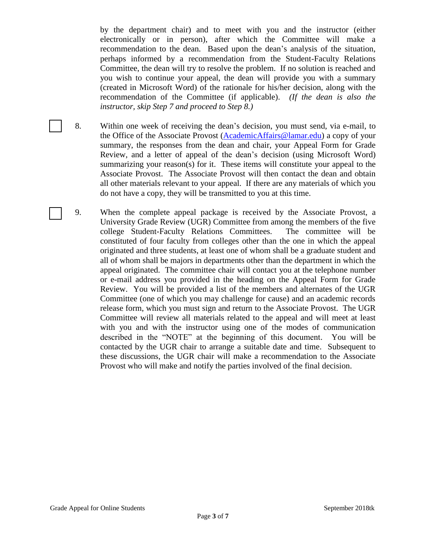by the department chair) and to meet with you and the instructor (either electronically or in person), after which the Committee will make a recommendation to the dean. Based upon the dean's analysis of the situation, perhaps informed by a recommendation from the Student-Faculty Relations Committee, the dean will try to resolve the problem. If no solution is reached and you wish to continue your appeal, the dean will provide you with a summary (created in Microsoft Word) of the rationale for his/her decision, along with the recommendation of the Committee (if applicable). *(If the dean is also the instructor, skip Step 7 and proceed to Step 8.)*

- 8. Within one week of receiving the dean's decision, you must send, via e-mail, to the Office of the Associate Provost [\(AcademicAffairs@lamar.edu\)](mailto:AcademicAffairs@lamar.edu) a copy of your summary, the responses from the dean and chair, your Appeal Form for Grade Review, and a letter of appeal of the dean's decision (using Microsoft Word) summarizing your reason(s) for it. These items will constitute your appeal to the Associate Provost. The Associate Provost will then contact the dean and obtain all other materials relevant to your appeal. If there are any materials of which you do not have a copy, they will be transmitted to you at this time.
- 9. When the complete appeal package is received by the Associate Provost, a University Grade Review (UGR) Committee from among the members of the five college Student-Faculty Relations Committees. The committee will be constituted of four faculty from colleges other than the one in which the appeal originated and three students, at least one of whom shall be a graduate student and all of whom shall be majors in departments other than the department in which the appeal originated. The committee chair will contact you at the telephone number or e-mail address you provided in the heading on the Appeal Form for Grade Review. You will be provided a list of the members and alternates of the UGR Committee (one of which you may challenge for cause) and an academic records release form, which you must sign and return to the Associate Provost. The UGR Committee will review all materials related to the appeal and will meet at least with you and with the instructor using one of the modes of communication described in the "NOTE" at the beginning of this document. You will be contacted by the UGR chair to arrange a suitable date and time. Subsequent to these discussions, the UGR chair will make a recommendation to the Associate Provost who will make and notify the parties involved of the final decision.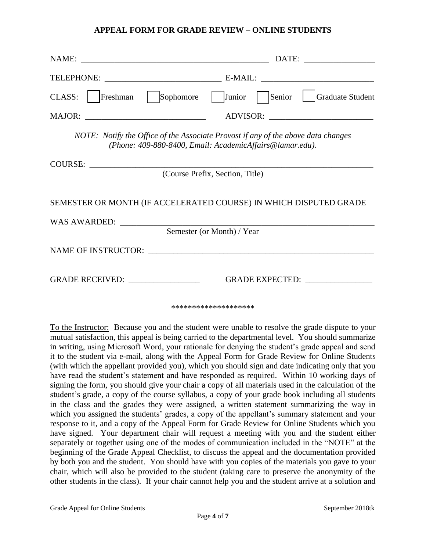## **APPEAL FORM FOR GRADE REVIEW – ONLINE STUDENTS**

|                                                                                                                                               | DATE:                                |  |  |
|-----------------------------------------------------------------------------------------------------------------------------------------------|--------------------------------------|--|--|
|                                                                                                                                               |                                      |  |  |
| Sophomore<br>Freshman<br>CLASS:                                                                                                               | Junior<br>Graduate Student<br>Senior |  |  |
|                                                                                                                                               | ADVISOR:                             |  |  |
| NOTE: Notify the Office of the Associate Provost if any of the above data changes<br>(Phone: 409-880-8400, Email: AcademicAffairs@lamar.edu). |                                      |  |  |
| <b>COURSE:</b>                                                                                                                                |                                      |  |  |
| (Course Prefix, Section, Title)                                                                                                               |                                      |  |  |
| SEMESTER OR MONTH (IF ACCELERATED COURSE) IN WHICH DISPUTED GRADE                                                                             |                                      |  |  |
|                                                                                                                                               |                                      |  |  |
| Semester (or Month) / Year                                                                                                                    |                                      |  |  |
|                                                                                                                                               |                                      |  |  |
| GRADE RECEIVED: _________________                                                                                                             | GRADE EXPECTED: ________________     |  |  |
| ********************                                                                                                                          |                                      |  |  |

To the Instructor: Because you and the student were unable to resolve the grade dispute to your mutual satisfaction, this appeal is being carried to the departmental level. You should summarize in writing, using Microsoft Word, your rationale for denying the student's grade appeal and send it to the student via e-mail, along with the Appeal Form for Grade Review for Online Students (with which the appellant provided you), which you should sign and date indicating only that you have read the student's statement and have responded as required. Within 10 working days of signing the form, you should give your chair a copy of all materials used in the calculation of the student's grade, a copy of the course syllabus, a copy of your grade book including all students in the class and the grades they were assigned, a written statement summarizing the way in which you assigned the students' grades, a copy of the appellant's summary statement and your response to it, and a copy of the Appeal Form for Grade Review for Online Students which you have signed. Your department chair will request a meeting with you and the student either separately or together using one of the modes of communication included in the "NOTE" at the beginning of the Grade Appeal Checklist, to discuss the appeal and the documentation provided by both you and the student. You should have with you copies of the materials you gave to your chair, which will also be provided to the student (taking care to preserve the anonymity of the other students in the class). If your chair cannot help you and the student arrive at a solution and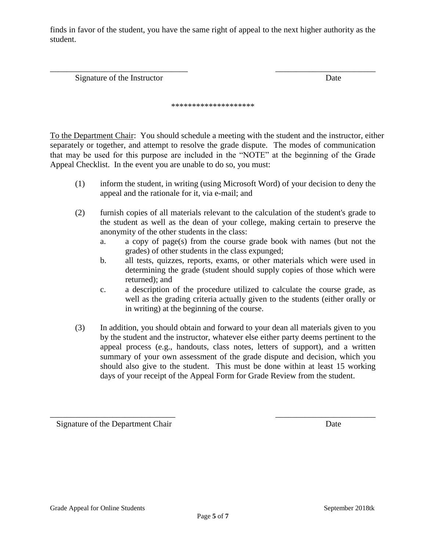finds in favor of the student, you have the same right of appeal to the next higher authority as the student.

Signature of the Instructor Date

\*\*\*\*\*\*\*\*\*\*\*\*\*\*\*\*\*\*\*\*

\_\_\_\_\_\_\_\_\_\_\_\_\_\_\_\_\_\_\_\_\_\_\_\_\_\_\_\_\_\_\_\_\_ \_\_\_\_\_\_\_\_\_\_\_\_\_\_\_\_\_\_\_\_\_\_\_\_

To the Department Chair: You should schedule a meeting with the student and the instructor, either separately or together, and attempt to resolve the grade dispute. The modes of communication that may be used for this purpose are included in the "NOTE" at the beginning of the Grade Appeal Checklist. In the event you are unable to do so, you must:

- (1) inform the student, in writing (using Microsoft Word) of your decision to deny the appeal and the rationale for it, via e-mail; and
- (2) furnish copies of all materials relevant to the calculation of the student's grade to the student as well as the dean of your college, making certain to preserve the anonymity of the other students in the class:
	- a. a copy of page(s) from the course grade book with names (but not the grades) of other students in the class expunged;
	- b. all tests, quizzes, reports, exams, or other materials which were used in determining the grade (student should supply copies of those which were returned); and
	- c. a description of the procedure utilized to calculate the course grade, as well as the grading criteria actually given to the students (either orally or in writing) at the beginning of the course.
- (3) In addition, you should obtain and forward to your dean all materials given to you by the student and the instructor, whatever else either party deems pertinent to the appeal process (e.g., handouts, class notes, letters of support), and a written summary of your own assessment of the grade dispute and decision, which you should also give to the student. This must be done within at least 15 working days of your receipt of the Appeal Form for Grade Review from the student.

Signature of the Department Chair Date

\_\_\_\_\_\_\_\_\_\_\_\_\_\_\_\_\_\_\_\_\_\_\_\_\_\_\_\_\_\_ \_\_\_\_\_\_\_\_\_\_\_\_\_\_\_\_\_\_\_\_\_\_\_\_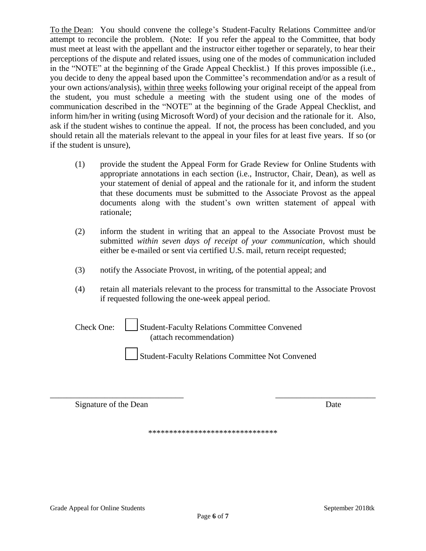To the Dean: You should convene the college's Student-Faculty Relations Committee and/or attempt to reconcile the problem. (Note: If you refer the appeal to the Committee, that body must meet at least with the appellant and the instructor either together or separately, to hear their perceptions of the dispute and related issues, using one of the modes of communication included in the "NOTE" at the beginning of the Grade Appeal Checklist.) If this proves impossible (i.e., you decide to deny the appeal based upon the Committee's recommendation and/or as a result of your own actions/analysis), within three weeks following your original receipt of the appeal from the student, you must schedule a meeting with the student using one of the modes of communication described in the "NOTE" at the beginning of the Grade Appeal Checklist, and inform him/her in writing (using Microsoft Word) of your decision and the rationale for it. Also, ask if the student wishes to continue the appeal. If not, the process has been concluded, and you should retain all the materials relevant to the appeal in your files for at least five years. If so (or if the student is unsure),

- (1) provide the student the Appeal Form for Grade Review for Online Students with appropriate annotations in each section (i.e., Instructor, Chair, Dean), as well as your statement of denial of appeal and the rationale for it, and inform the student that these documents must be submitted to the Associate Provost as the appeal documents along with the student's own written statement of appeal with rationale;
- (2) inform the student in writing that an appeal to the Associate Provost must be submitted *within seven days of receipt of your communication,* which should either be e-mailed or sent via certified U.S. mail, return receipt requested;
- (3) notify the Associate Provost, in writing, of the potential appeal; and
- (4) retain all materials relevant to the process for transmittal to the Associate Provost if requested following the one-week appeal period.

| Check One:              | Student-Faculty Relations Committee Convened |  |
|-------------------------|----------------------------------------------|--|
| (attach recommendation) |                                              |  |

\_\_\_ Student-Faculty Relations Committee Not Convened

Signature of the Dean Date

\*\*\*\*\*\*\*\*\*\*\*\*\*\*\*\*\*\*\*\*\*\*\*\*\*\*\*\*\*\*\*

\_\_\_\_\_\_\_\_\_\_\_\_\_\_\_\_\_\_\_\_\_\_\_\_\_\_\_\_\_\_\_\_ \_\_\_\_\_\_\_\_\_\_\_\_\_\_\_\_\_\_\_\_\_\_\_\_